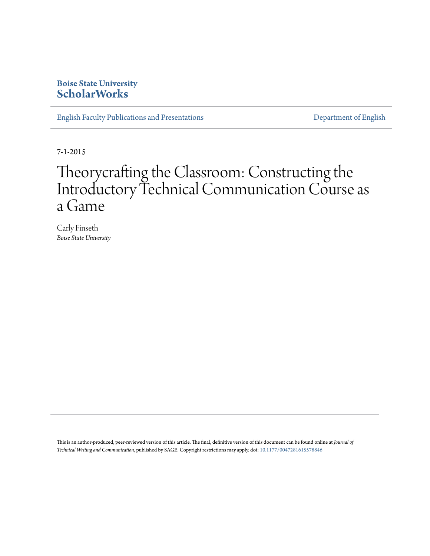### **Boise State University [ScholarWorks](https://scholarworks.boisestate.edu)**

[English Faculty Publications and Presentations](https://scholarworks.boisestate.edu/english_facpubs) **[Department of English](https://scholarworks.boisestate.edu/english)** 

7-1-2015

# Theorycrafting the Classroom: Constructing the Introductory Technical Communication Course as a Game

Carly Finseth *Boise State University*

This is an author-produced, peer-reviewed version of this article. The final, definitive version of this document can be found online at *Journal of Technical Writing and Communication*, published by SAGE. Copyright restrictions may apply. doi: [10.1177/0047281615578846](http://dx.doi.org/10.1177/0047281615578846)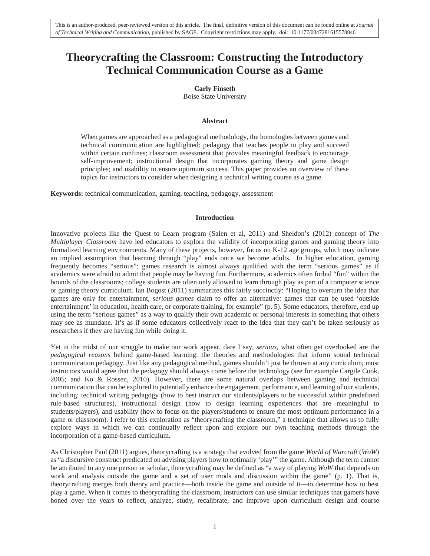## **Theorycrafting the Classroom: Constructing the Introductory Technical Communication Course as a Game**

#### **Carly Finseth**

Boise State University

#### **Abstract**

When games are approached as a pedagogical methodology, the homologies between games and technical communication are highlighted: pedagogy that teaches people to play and succeed within certain confines; classroom assessment that provides meaningful feedback to encourage self-improvement; instructional design that incorporates gaming theory and game design principles; and usability to ensure optimum success. This paper provides an overview of these topics for instructors to consider when designing a technical writing course as a game.

**Keywords:** technical communication, gaming, teaching, pedagogy, assessment

#### **Introduction**

Innovative projects like the Quest to Learn program (Salen et al, 2011) and Sheldon's (2012) concept of *The Multiplayer Classroom* have led educators to explore the validity of incorporating games and gaming theory into formalized learning environments. Many of these projects, however, focus on K-12 age groups, which may indicate an implied assumption that learning through "play" ends once we become adults. In higher education, gaming frequently becomes "serious"; games research is almost always qualified with the term "serious games" as if academics were afraid to admit that people may be having fun. Furthermore, academics often forbid "fun" within the bounds of the classrooms; college students are often only allowed to learn through play as part of a computer science or gaming theory curriculum. Ian Bogost (2011) summarizes this fairly succinctly: "Hoping to overturn the idea that games are only for entertainment, *serious games* claim to offer an alternative: games that can be used 'outside entertainment' in education, health care, or corporate training, for example" (p. 5). Some educators, therefore, end up using the term "serious games" as a way to qualify their own academic or personal interests in something that others may see as mundane. It's as if some educators collectively react to the idea that they can't be taken seriously as researchers if they are having fun while doing it.

Yet in the midst of our struggle to make our work appear, dare I say, *serious*, what often get overlooked are the *pedagogical reasons* behind game-based learning: the theories and methodologies that inform sound technical communication pedagogy. Just like any pedagogical method, games shouldn't just be thrown at any curriculum; most instructors would agree that the pedagogy should always come before the technology (see for example Cargile Cook, 2005; and Ko & Rossen, 2010). However, there are some natural overlaps between gaming and technical communication that can be explored to potentially enhance the engagement, performance, and learning of our students, including: technical writing pedagogy (how to best instruct our students/players to be successful within predefined rule-based structures), instructional design (how to design learning experiences that are meaningful to students/players), and usability (how to focus on the players/students to ensure the most optimum performance in a game or classroom). I refer to this exploration as "theorycrafting the classroom," a technique that allows us to fully explore ways in which we can continually reflect upon and explore our own teaching methods through the incorporation of a game-based curriculum.

As Christopher Paul (2011) argues, theorycrafting is a strategy that evolved from the game *World of Warcraft* (*WoW*) as "a discursive construct predicated on advising players how to optimally 'play'" the game. Although the term cannot be attributed to any one person or scholar, theorycrafting may be defined as "a way of playing *WoW* that depends on work and analysis outside the game and a set of user mods and discussion within the game" (p. 1). That is, theorycrafting merges both theory and practice—both inside the game and outside of it—to determine how to best play a game. When it comes to theorycrafting the classroom, instructors can use similar techniques that gamers have honed over the years to reflect, analyze, study, recalibrate, and improve upon curriculum design and course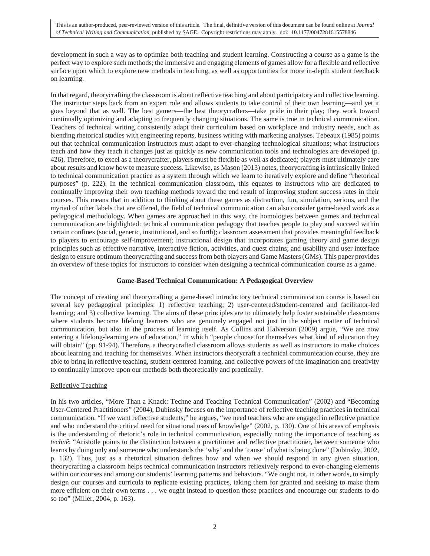development in such a way as to optimize both teaching and student learning. Constructing a course as a game is the perfect way to explore such methods; the immersive and engaging elements of games allow for a flexible and reflective surface upon which to explore new methods in teaching, as well as opportunities for more in-depth student feedback on learning.

In that regard, theorycrafting the classroom is about reflective teaching and about participatory and collective learning. The instructor steps back from an expert role and allows students to take control of their own learning—and yet it goes beyond that as well. The best gamers—the best theorycrafters—take pride in their play; they work toward continually optimizing and adapting to frequently changing situations. The same is true in technical communication. Teachers of technical writing consistently adapt their curriculum based on workplace and industry needs, such as blending rhetorical studies with engineering reports, business writing with marketing analyses. Tebeaux (1985) points out that technical communication instructors must adapt to ever-changing technological situations; what instructors teach and how they teach it changes just as quickly as new communication tools and technologies are developed (p. 426). Therefore, to excel as a theorycrafter, players must be flexible as well as dedicated; players must ultimately care about results and know how to measure success. Likewise, as Mason (2013) notes, theorycrafting is intrinsically linked to technical communication practice as a system through which we learn to iteratively explore and define "rhetorical purposes" (p. 222). In the technical communication classroom, this equates to instructors who are dedicated to continually improving their own teaching methods toward the end result of improving student success rates in their courses. This means that in addition to thinking about these games as distraction, fun, simulation, serious, and the myriad of other labels that are offered, the field of technical communication can also consider game-based work as a pedagogical methodology. When games are approached in this way, the homologies between games and technical communication are highlighted: technical communication pedagogy that teaches people to play and succeed within certain confines (social, generic, institutional, and so forth); classroom assessment that provides meaningful feedback to players to encourage self-improvement; instructional design that incorporates gaming theory and game design principles such as effective narrative, interactive fiction, activities, and quest chains; and usability and user interface design to ensure optimum theorycrafting and success from both players and Game Masters (GMs). This paper provides an overview of these topics for instructors to consider when designing a technical communication course as a game.

#### **Game-Based Technical Communication: A Pedagogical Overview**

The concept of creating and theorycrafting a game-based introductory technical communication course is based on several key pedagogical principles: 1) reflective teaching; 2) user-centered/student-centered and facilitator-led learning; and 3) collective learning. The aims of these principles are to ultimately help foster sustainable classrooms where students become lifelong learners who are genuinely engaged not just in the subject matter of technical communication, but also in the process of learning itself. As Collins and Halverson (2009) argue, "We are now entering a lifelong-learning era of education," in which "people choose for themselves what kind of education they will obtain" (pp. 91-94). Therefore, a theorycrafted classroom allows students as well as instructors to make choices about learning and teaching for themselves. When instructors theorycraft a technical communication course, they are able to bring in reflective teaching, student-centered learning, and collective powers of the imagination and creativity to continually improve upon our methods both theoretically and practically.

#### Reflective Teaching

In his two articles, "More Than a Knack: Techne and Teaching Technical Communication" (2002) and "Becoming User-Centered Practitioners" (2004), Dubinsky focuses on the importance of reflective teaching practices in technical communication. "If we want reflective students," he argues, "we need teachers who are engaged in reflective practice and who understand the critical need for situational uses of knowledge" (2002, p. 130). One of his areas of emphasis is the understanding of rhetoric's role in technical communication, especially noting the importance of teaching as *technê*: "Aristotle points to the distinction between a practitioner and reflective practitioner, between someone who learns by doing only and someone who understands the 'why' and the 'cause' of what is being done" (Dubinsky, 2002, p. 132). Thus, just as a rhetorical situation defines how and when we should respond in any given situation, theorycrafting a classroom helps technical communication instructors reflexively respond to ever-changing elements within our courses and among our students' learning patterns and behaviors. "We ought not, in other words, to simply design our courses and curricula to replicate existing practices, taking them for granted and seeking to make them more efficient on their own terms . . . we ought instead to question those practices and encourage our students to do so too" (Miller, 2004, p. 163).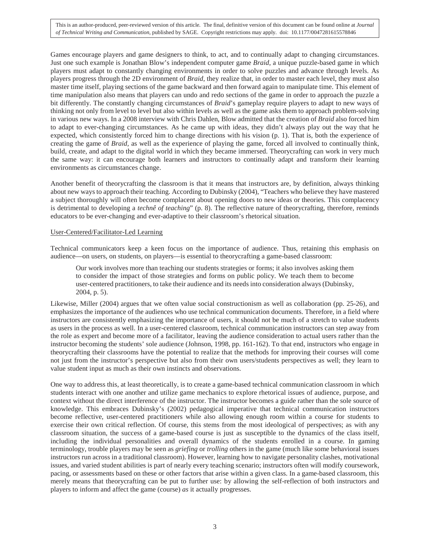Games encourage players and game designers to think, to act, and to continually adapt to changing circumstances. Just one such example is Jonathan Blow's independent computer game *Braid*, a unique puzzle-based game in which players must adapt to constantly changing environments in order to solve puzzles and advance through levels. As players progress through the 2D environment of *Braid*, they realize that, in order to master each level, they must also master time itself, playing sections of the game backward and then forward again to manipulate time. This element of time manipulation also means that players can undo and redo sections of the game in order to approach the puzzle a bit differently. The constantly changing circumstances of *Braid*'s gameplay require players to adapt to new ways of thinking not only from level to level but also within levels as well as the game asks them to approach problem-solving in various new ways. In a 2008 interview with Chris Dahlen, Blow admitted that the creation of *Braid* also forced him to adapt to ever-changing circumstances. As he came up with ideas, they didn't always play out the way that he expected, which consistently forced him to change directions with his vision (p. 1). That is, both the experience of creating the game of *Braid,* as well as the experience of playing the game, forced all involved to continually think, build, create, and adapt to the digital world in which they became immersed. Theorycrafting can work in very much the same way: it can encourage both learners and instructors to continually adapt and transform their learning environments as circumstances change.

Another benefit of theorycrafting the classroom is that it means that instructors are, by definition, always thinking about new ways to approach their teaching. According to Dubinsky (2004), "Teachers who believe they have mastered a subject thoroughly will often become complacent about opening doors to new ideas or theories. This complacency is detrimental to developing a *technê of teaching*" (p. 8). The reflective nature of theorycrafting, therefore, reminds educators to be ever-changing and ever-adaptive to their classroom's rhetorical situation.

#### User-Centered/Facilitator-Led Learning

Technical communicators keep a keen focus on the importance of audience. Thus, retaining this emphasis on audience—on users, on students, on players—is essential to theorycrafting a game-based classroom:

Our work involves more than teaching our students strategies or forms; it also involves asking them to consider the impact of those strategies and forms on public policy. We teach them to become user-centered practitioners, to take their audience and its needs into consideration always (Dubinsky, 2004, p. 5).

Likewise, Miller (2004) argues that we often value social constructionism as well as collaboration (pp. 25-26), and emphasizes the importance of the audiences who use technical communication documents. Therefore, in a field where instructors are consistently emphasizing the importance of users, it should not be much of a stretch to value students as users in the process as well. In a user-centered classroom, technical communication instructors can step away from the role as expert and become more of a facilitator, leaving the audience consideration to actual users rather than the instructor becoming the students' sole audience (Johnson, 1998, pp. 161-162). To that end, instructors who engage in theorycrafting their classrooms have the potential to realize that the methods for improving their courses will come not just from the instructor's perspective but also from their own users/students perspectives as well; they learn to value student input as much as their own instincts and observations.

One way to address this, at least theoretically, is to create a game-based technical communication classroom in which students interact with one another and utilize game mechanics to explore rhetorical issues of audience, purpose, and context without the direct interference of the instructor. The instructor becomes a guide rather than the sole source of knowledge. This embraces Dubinsky's (2002) pedagogical imperative that technical communication instructors become reflective, user-centered practitioners while also allowing enough room within a course for students to exercise their own critical reflection. Of course, this stems from the most ideological of perspectives; as with any classroom situation, the success of a game-based course is just as susceptible to the dynamics of the class itself, including the individual personalities and overall dynamics of the students enrolled in a course. In gaming terminology, trouble players may be seen as *griefing* or *trolling* others in the game (much like some behavioral issues instructors run across in a traditional classroom). However, learning how to navigate personality clashes, motivational issues, and varied student abilities is part of nearly every teaching scenario; instructors often will modify coursework, pacing, or assessments based on these or other factors that arise within a given class. In a game-based classroom, this merely means that theorycrafting can be put to further use: by allowing the self-reflection of both instructors and players to inform and affect the game (course) *as* it actually progresses.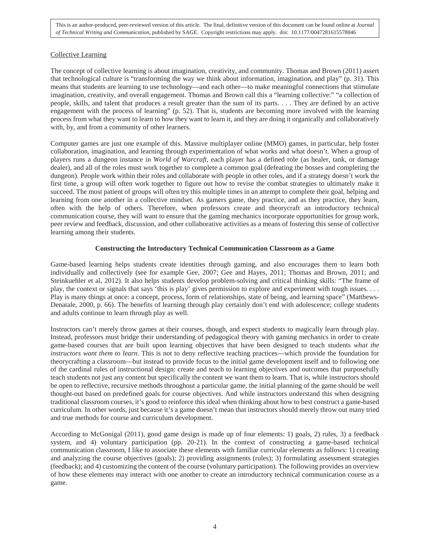#### Collective Learning

The concept of collective learning is about imagination, creativity, and community. Thomas and Brown (2011) assert that technological culture is "transforming the way we think about information, imagination, and play" (p. 31). This means that students are learning to use technology—and each other—to make meaningful connections that stimulate imagination, creativity, and overall engagement. Thomas and Brown call this a "learning collective:" "a collection of people, skills, and talent that produces a result greater than the sum of its parts. . . . They are defined by an active engagement with the process of learning" (p. 52). That is, students are becoming more involved with the learning process from what they want to learn to how they want to learn it, and they are doing it organically and collaboratively with, by, and from a community of other learners.

Computer games are just one example of this. Massive multiplayer online (MMO) games, in particular, help foster collaboration, imagination, and learning through experimentation of what works and what doesn't. When a group of players runs a dungeon instance in *World of Warcraft*, each player has a defined role (as healer, tank, or damage dealer), and all of the roles must work together to complete a common goal (defeating the bosses and completing the dungeon). People work within their roles and collaborate with people in other roles, and if a strategy doesn't work the first time, a group will often work together to figure out how to revise the combat strategies to ultimately make it succeed. The most patient of groups will often try this multiple times in an attempt to complete their goal, helping and learning from one another in a collective mindset. As gamers game, they practice, and as they practice, they learn, often with the help of others. Therefore, when professors create and theorycraft an introductory technical communication course, they will want to ensure that the gaming mechanics incorporate opportunities for group work, peer review and feedback, discussion, and other collaborative activities as a means of fostering this sense of collective learning among their students.

#### **Constructing the Introductory Technical Communication Classroom as a Game**

Game-based learning helps students create identities through gaming, and also encourages them to learn both individually and collectively (see for example Gee, 2007; Gee and Hayes, 2011; Thomas and Brown, 2011; and Steinkuehler et al, 2012). It also helps students develop problem-solving and critical thinking skills: "The frame of play, the context or signals that says 'this is play' gives permission to explore and experiment with tough issues. . . . Play is many things at once: a concept, process, form of relationships, state of being, and learning space" (Matthews-Denatale, 2000, p. 66). The benefits of learning through play certainly don't end with adolescence; college students and adults continue to learn through play as well.

Instructors can't merely throw games at their courses, though, and expect students to magically learn through play. Instead, professors must bridge their understanding of pedagogical theory with gaming mechanics in order to create game-based courses that are built upon learning objectives that have been designed to teach students *what the instructors want them to learn*. This is not to deny reflective teaching practices—which provide the foundation for theorycrafting a classroom—but instead to provide focus to the initial game development itself and to following one of the cardinal rules of instructional design: create and teach to learning objectives and outcomes that purposefully teach students not just any content but specifically the content we want them to learn. That is, while instructors should be open to reflective, recursive methods throughout a particular game, the initial planning of the game should be well thought-out based on predefined goals for course objectives. And while instructors understand this when designing traditional classroom courses, it's good to reinforce this ideal when thinking about how to best construct a game-based curriculum. In other words, just because it's a game doesn't mean that instructors should merely throw out many tried and true methods for course and curriculum development.

According to McGonigal (2011), good game design is made up of four elements: 1) goals, 2) rules, 3) a feedback system, and 4) voluntary participation (pp. 20-21). In the context of constructing a game-based technical communication classroom, I like to associate these elements with familiar curricular elements as follows: 1) creating and analyzing the course objectives (goals); 2) providing assignments (rules); 3) formulating assessment strategies (feedback); and 4) customizing the content of the course (voluntary participation). The following provides an overview of how these elements may interact with one another to create an introductory technical communication course as a game.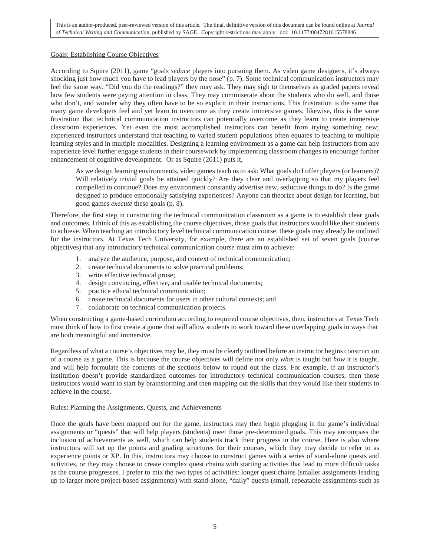#### Goals: Establishing Course Objectives

According to Squire (2011), game "goals *seduce* players into pursuing them. As video game designers, it's always shocking just how much you have to lead players by the nose" (p. 7). Some technical communication instructors may feel the same way. "Did you do the readings?" they may ask. They may sigh to themselves as graded papers reveal how few students were paying attention in class. They may commiserate about the students who do well, and those who don't, and wonder why they often have to be so explicit in their instructions. This frustration is the same that many game developers feel and yet learn to overcome as they create immersive games; likewise, this is the same frustration that technical communication instructors can potentially overcome as they learn to create immersive classroom experiences. Yet even the most accomplished instructors can benefit from trying something new; experienced instructors understand that teaching to varied student populations often equates to teaching to multiple learning styles and in multiple modalities. Designing a learning environment as a game can help instructors from any experience level further engage students in their coursework by implementing classroom changes to encourage further enhancement of cognitive development. Or as Squire (2011) puts it,

As we design learning environments, video games teach us to ask: What goals do I offer players (or learners)? Will relatively trivial goals be attained quickly? Are they clear and overlapping so that my players feel compelled to continue? Does my environment constantly advertise new, seductive things to do? Is the game designed to produce emotionally satisfying experiences? Anyone can theorize about design for learning, but good games *execute* these goals (p. 8).

Therefore, the first step in constructing the technical communication classroom as a game is to establish clear goals and outcomes. I think of this as establishing the course objectives, those goals that instructors would like their students to achieve. When teaching an introductory level technical communication course, these goals may already be outlined for the instructors. At Texas Tech University, for example, there are an established set of seven goals (course objectives) that any introductory technical communication course must aim to achieve:

- 1. analyze the audience, purpose, and context of technical communication;
- 2. create technical documents to solve practical problems;
- 3. write effective technical prose;
- 4. design convincing, effective, and usable technical documents;
- 5. practice ethical technical communication;
- 6. create technical documents for users in other cultural contexts; and
- 7. collaborate on technical communication projects.

When constructing a game-based curriculum according to required course objectives, then, instructors at Texas Tech must think of how to first create a game that will allow students to work toward these overlapping goals in ways that are both meaningful and immersive.

Regardless of what a course's objectives may be, they must be clearly outlined before an instructor begins construction of a course as a game. This is because the course objectives will define not only *wha*t is taught but *how* it is taught, and will help formulate the contents of the sections below to round out the class. For example, if an instructor's institution doesn't provide standardized outcomes for introductory technical communication courses, then those instructors would want to start by brainstorming and then mapping out the skills that they would like their students to achieve in the course.

#### Rules: Planning the Assignments, Quests, and Achievements

Once the goals have been mapped out for the game, instructors may then begin plugging in the game's individual assignments or "quests" that will help players (students) meet those pre-determined goals. This may encompass the inclusion of achievements as well, which can help students track their progress in the course. Here is also where instructors will set up the points and grading structures for their courses, which they may decide to refer to as experience points or XP. In this, instructors may choose to construct games with a series of stand-alone quests and activities, or they may choose to create complex quest chains with starting activities that lead to more difficult tasks as the course progresses. I prefer to mix the two types of activities: longer quest chains (smaller assignments leading up to larger more project-based assignments) with stand-alone, "daily" quests (small, repeatable assignments such as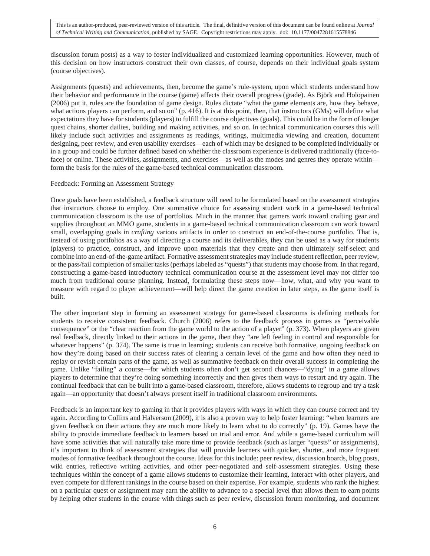discussion forum posts) as a way to foster individualized and customized learning opportunities. However, much of this decision on how instructors construct their own classes, of course, depends on their individual goals system (course objectives).

Assignments (quests) and achievements, then, become the game's rule-system, upon which students understand how their behavior and performance in the course (game) affects their overall progress (grade). As Björk and Holopainen (2006) put it, rules are the foundation of game design. Rules dictate "what the game elements are, how they behave, what actions players can perform, and so on" (p. 416). It is at this point, then, that instructors (GMs) will define what expectations they have for students (players) to fulfill the course objectives (goals). This could be in the form of longer quest chains, shorter dailies, building and making activities, and so on. In technical communication courses this will likely include such activities and assignments as readings, writings, multimedia viewing and creation, document designing, peer review, and even usability exercises—each of which may be designed to be completed individually or in a group and could be further defined based on whether the classroom experience is delivered traditionally (face-toface) or online. These activities, assignments, and exercises—as well as the modes and genres they operate within form the basis for the rules of the game-based technical communication classroom.

#### Feedback: Forming an Assessment Strategy

Once goals have been established, a feedback structure will need to be formulated based on the assessment strategies that instructors choose to employ. One summative choice for assessing student work in a game-based technical communication classroom is the use of portfolios. Much in the manner that gamers work toward crafting gear and supplies throughout an MMO game, students in a game-based technical communication classroom can work toward small, overlapping goals in *crafting* various artifacts in order to construct an end-of-the-course portfolio. That is, instead of using portfolios as a way of directing a course and its deliverables, they can be used as a way for students (players) to practice, construct, and improve upon materials that they create and then ultimately self-select and combine into an end-of-the-game artifact. Formative assessment strategies may include student reflection, peer review, or the pass/fail completion of smaller tasks (perhaps labeled as "quests") that students may choose from. In that regard, constructing a game-based introductory technical communication course at the assessment level may not differ too much from traditional course planning. Instead, formulating these steps now—how, what, and why you want to measure with regard to player achievement—will help direct the game creation in later steps, as the game itself is built.

The other important step in forming an assessment strategy for game-based classrooms is defining methods for students to receive consistent feedback. Church (2006) refers to the feedback process in games as "perceivable consequence" or the "clear reaction from the game world to the action of a player" (p. 373). When players are given real feedback, directly linked to their actions in the game, then they "are left feeling in control and responsible for whatever happens" (p. 374). The same is true in learning; students can receive both formative, ongoing feedback on how they're doing based on their success rates of clearing a certain level of the game and how often they need to replay or revisit certain parts of the game, as well as summative feedback on their overall success in completing the game. Unlike "failing" a course—for which students often don't get second chances—"dying" in a game allows players to determine that they're doing something incorrectly and then gives them ways to restart and try again. The continual feedback that can be built into a game-based classroom, therefore, allows students to regroup and try a task again—an opportunity that doesn't always present itself in traditional classroom environments.

Feedback is an important key to gaming in that it provides players with ways in which they can course correct and try again. According to Collins and Halverson (2009), it is also a proven way to help foster learning: "when learners are given feedback on their actions they are much more likely to learn what to do correctly" (p. 19). Games have the ability to provide immediate feedback to learners based on trial and error. And while a game-based curriculum will have some activities that will naturally take more time to provide feedback (such as larger "quests" or assignments), it's important to think of assessment strategies that will provide learners with quicker, shorter, and more frequent modes of formative feedback throughout the course. Ideas for this include: peer review, discussion boards, blog posts, wiki entries, reflective writing activities, and other peer-negotiated and self-assessment strategies. Using these techniques within the concept of a game allows students to customize their learning, interact with other players, and even compete for different rankings in the course based on their expertise. For example, students who rank the highest on a particular quest or assignment may earn the ability to advance to a special level that allows them to earn points by helping other students in the course with things such as peer review, discussion forum monitoring, and document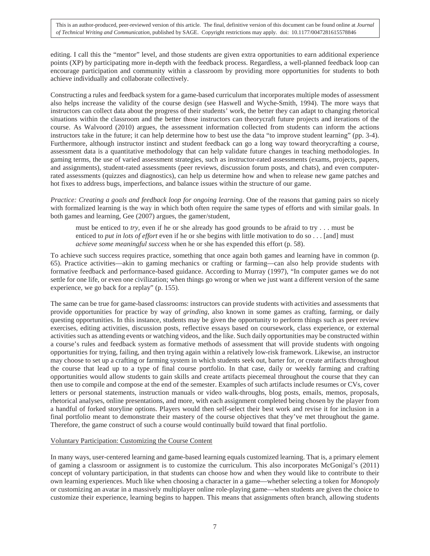editing. I call this the "mentor" level, and those students are given extra opportunities to earn additional experience points (XP) by participating more in-depth with the feedback process. Regardless, a well-planned feedback loop can encourage participation and community within a classroom by providing more opportunities for students to both achieve individually and collaborate collectively.

Constructing a rules and feedback system for a game-based curriculum that incorporates multiple modes of assessment also helps increase the validity of the course design (see Haswell and Wyche-Smith, 1994). The more ways that instructors can collect data about the progress of their students' work, the better they can adapt to changing rhetorical situations within the classroom and the better those instructors can theorycraft future projects and iterations of the course. As Walvoord (2010) argues, the assessment information collected from students can inform the actions instructors take in the future; it can help determine how to best use the data "to improve student learning" (pp. 3-4). Furthermore, although instructor instinct and student feedback can go a long way toward theorycrafting a course, assessment data is a quantitative methodology that can help validate future changes in teaching methodologies. In gaming terms, the use of varied assessment strategies, such as instructor-rated assessments (exams, projects, papers, and assignments), student-rated assessments (peer reviews, discussion forum posts, and chats), and even computerrated assessments (quizzes and diagnostics), can help us determine how and when to release new game patches and hot fixes to address bugs, imperfections, and balance issues within the structure of our game.

*Practice: Creating a goals and feedback loop for ongoing learning.* One of the reasons that gaming pairs so nicely with formalized learning is the way in which both often require the same types of efforts and with similar goals. In both games and learning, Gee (2007) argues, the gamer/student,

must be enticed to *try*, even if he or she already has good grounds to be afraid to try . . . must be enticed to *put in lots of effort* even if he or she begins with little motivation to do so . . . [and] must *achieve some meaningful success* when he or she has expended this effort (p. 58).

To achieve such success requires practice, something that once again both games and learning have in common (p. 65). Practice activities—akin to gaming mechanics or crafting or farming—can also help provide students with formative feedback and performance-based guidance. According to Murray (1997), "In computer games we do not settle for one life, or even one civilization; when things go wrong or when we just want a different version of the same experience, we go back for a replay" (p. 155).

The same can be true for game-based classrooms: instructors can provide students with activities and assessments that provide opportunities for practice by way of *grinding*, also known in some games as crafting, farming, or daily questing opportunities. In this instance, students may be given the opportunity to perform things such as peer review exercises, editing activities, discussion posts, reflective essays based on coursework, class experience, or external activities such as attending events or watching videos, and the like. Such daily opportunities may be constructed within a course's rules and feedback system as formative methods of assessment that will provide students with ongoing opportunities for trying, failing, and then trying again within a relatively low-risk framework. Likewise, an instructor may choose to set up a crafting or farming system in which students seek out, barter for, or create artifacts throughout the course that lead up to a type of final course portfolio. In that case, daily or weekly farming and crafting opportunities would allow students to gain skills and create artifacts piecemeal throughout the course that they can then use to compile and compose at the end of the semester. Examples of such artifacts include resumes or CVs, cover letters or personal statements, instruction manuals or video walk-throughs, blog posts, emails, memos, proposals, rhetorical analyses, online presentations, and more, with each assignment completed being chosen by the player from a handful of forked storyline options. Players would then self-select their best work and revise it for inclusion in a final portfolio meant to demonstrate their mastery of the course objectives that they've met throughout the game. Therefore, the game construct of such a course would continually build toward that final portfolio.

#### Voluntary Participation: Customizing the Course Content

In many ways, user-centered learning and game-based learning equals customized learning. That is, a primary element of gaming a classroom or assignment is to customize the curriculum. This also incorporates McGonigal's (2011) concept of voluntary participation, in that students can choose how and when they would like to contribute to their own learning experiences. Much like when choosing a character in a game—whether selecting a token for *Monopoly*  or customizing an avatar in a massively multiplayer online role-playing game—when students are given the choice to customize their experience, learning begins to happen. This means that assignments often branch, allowing students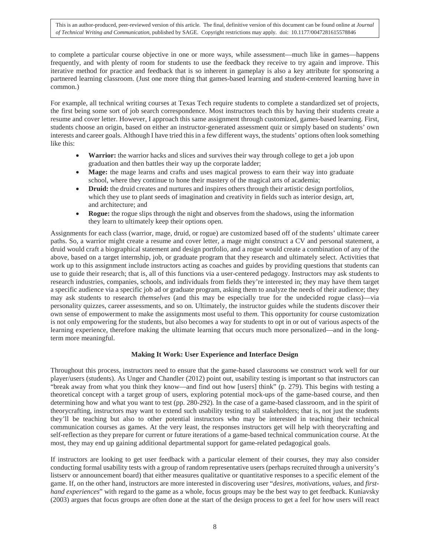to complete a particular course objective in one or more ways, while assessment—much like in games—happens frequently, and with plenty of room for students to use the feedback they receive to try again and improve. This iterative method for practice and feedback that is so inherent in gameplay is also a key attribute for sponsoring a partnered learning classroom. (Just one more thing that games-based learning and student-centered learning have in common.)

For example, all technical writing courses at Texas Tech require students to complete a standardized set of projects, the first being some sort of job search correspondence. Most instructors teach this by having their students create a resume and cover letter. However, I approach this same assignment through customized, games-based learning. First, students choose an origin, based on either an instructor-generated assessment quiz or simply based on students' own interests and career goals. Although I have tried this in a few different ways, the students' options often look something like this:

- **Warrior:** the warrior hacks and slices and survives their way through college to get a job upon graduation and then battles their way up the corporate ladder;
- **Mage:** the mage learns and crafts and uses magical prowess to earn their way into graduate school, where they continue to hone their mastery of the magical arts of academia;
- **Druid:** the druid creates and nurtures and inspires others through their artistic design portfolios, which they use to plant seeds of imagination and creativity in fields such as interior design, art, and architecture; and
- x **Rogue:** the rogue slips through the night and observes from the shadows, using the information they learn to ultimately keep their options open.

Assignments for each class (warrior, mage, druid, or rogue) are customized based off of the students' ultimate career paths. So, a warrior might create a resume and cover letter, a mage might construct a CV and personal statement, a druid would craft a biographical statement and design portfolio, and a rogue would create a combination of any of the above, based on a target internship, job, or graduate program that they research and ultimately select. Activities that work up to this assignment include instructors acting as coaches and guides by providing questions that students can use to guide their research; that is, all of this functions via a user-centered pedagogy. Instructors may ask students to research industries, companies, schools, and individuals from fields they're interested in; they may have them target a specific audience via a specific job ad or graduate program, asking them to analyze the needs of their audience; they may ask students to research *themselves* (and this may be especially true for the undecided rogue class)—via personality quizzes, career assessments, and so on. Ultimately, the instructor guides while the students discover their own sense of empowerment to make the assignments most useful to *them.* This opportunity for course customization is not only empowering for the students, but also becomes a way for students to opt in or out of various aspects of the learning experience, therefore making the ultimate learning that occurs much more personalized—and in the longterm more meaningful.

#### **Making It Work: User Experience and Interface Design**

Throughout this process, instructors need to ensure that the game-based classrooms we construct work well for our player/users (students). As Unger and Chandler (2012) point out, usability testing is important so that instructors can "break away from what you think they know—and find out how [users] think" (p. 279). This begins with testing a theoretical concept with a target group of users, exploring potential mock-ups of the game-based course, and then determining how and what you want to test (pp. 280-292). In the case of a game-based classroom, and in the spirit of theorycrafting, instructors may want to extend such usability testing to all stakeholders; that is, not just the students they'll be teaching but also to other potential instructors who may be interested in teaching their technical communication courses as games. At the very least, the responses instructors get will help with theorycrafting and self-reflection as they prepare for current or future iterations of a game-based technical communication course. At the most, they may end up gaining additional departmental support for game-related pedagogical goals.

If instructors are looking to get user feedback with a particular element of their courses, they may also consider conducting formal usability tests with a group of random representative users (perhaps recruited through a university's listserv or announcement board) that either measures qualitative or quantitative responses to a specific element of the game. If, on the other hand, instructors are more interested in discovering user "*desires, motivations, values*, and *firsthand experiences*" with regard to the game as a whole, focus groups may be the best way to get feedback. Kuniavsky (2003) argues that focus groups are often done at the start of the design process to get a feel for how users will react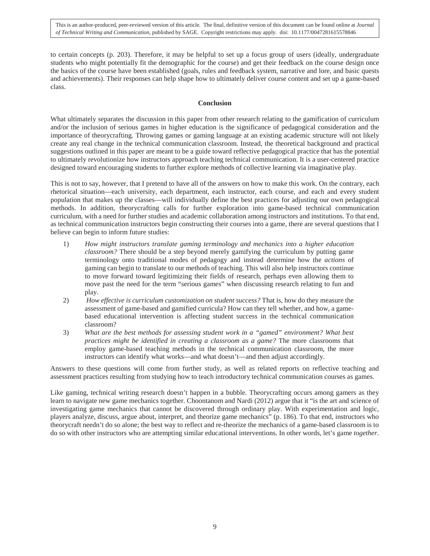to certain concepts (p. 203). Therefore, it may be helpful to set up a focus group of users (ideally, undergraduate students who might potentially fit the demographic for the course) and get their feedback on the course design once the basics of the course have been established (goals, rules and feedback system, narrative and lore, and basic quests and achievements). Their responses can help shape how to ultimately deliver course content and set up a game-based class.

#### **Conclusion**

What ultimately separates the discussion in this paper from other research relating to the gamification of curriculum and/or the inclusion of serious games in higher education is the significance of pedagogical consideration and the importance of theorycrafting. Throwing games or gaming language at an existing academic structure will not likely create any real change in the technical communication classroom. Instead, the theoretical background and practical suggestions outlined in this paper are meant to be a guide toward reflective pedagogical practice that has the potential to ultimately revolutionize how instructors approach teaching technical communication. It is a user-centered practice designed toward encouraging students to further explore methods of collective learning via imaginative play.

This is not to say, however, that I pretend to have all of the answers on how to make this work. On the contrary, each rhetorical situation—each university, each department, each instructor, each course, and each and every student population that makes up the classes—will individually define the best practices for adjusting our own pedagogical methods. In addition, theorycrafting calls for further exploration into game-based technical communication curriculum, with a need for further studies and academic collaboration among instructors and institutions. To that end, as technical communication instructors begin constructing their courses into a game, there are several questions that I believe can begin to inform future studies:

- 1) *How might instructors translate gaming terminology and mechanics into a higher education classroom?* There should be a step beyond merely gamifying the curriculum by putting game terminology onto traditional modes of pedagogy and instead determine how the *actions* of gaming can begin to translate to our methods of teaching. This will also help instructors continue to move forward toward legitimizing their fields of research, perhaps even allowing them to move past the need for the term "serious games" when discussing research relating to fun and play.
- 2) *How effective is curriculum customization on student success?* That is, how do they measure the assessment of game-based and gamified curricula? How can they tell whether, and how, a gamebased educational intervention is affecting student success in the technical communication classroom?
- 3) *What are the best methods for assessing student work in a "gamed" environment? What best practices might be identified in creating a classroom as a game?* The more classrooms that employ game-based teaching methods in the technical communication classroom, the more instructors can identify what works—and what doesn't—and then adjust accordingly.

Answers to these questions will come from further study, as well as related reports on reflective teaching and assessment practices resulting from studying how to teach introductory technical communication courses as games.

Like gaming, technical writing research doesn't happen in a bubble. Theorycrafting occurs among gamers as they learn to navigate new game mechanics together. Choontanom and Nardi (2012) argue that it "is the art and science of investigating game mechanics that cannot be discovered through ordinary play. With experimentation and logic, players analyze, discuss, argue about, interpret, and theorize game mechanics" (p. 186). To that end, instructors who theorycraft needn't do so alone; the best way to reflect and re-theorize the mechanics of a game-based classroom is to do so with other instructors who are attempting similar educational interventions. In other words, let's game *together*.